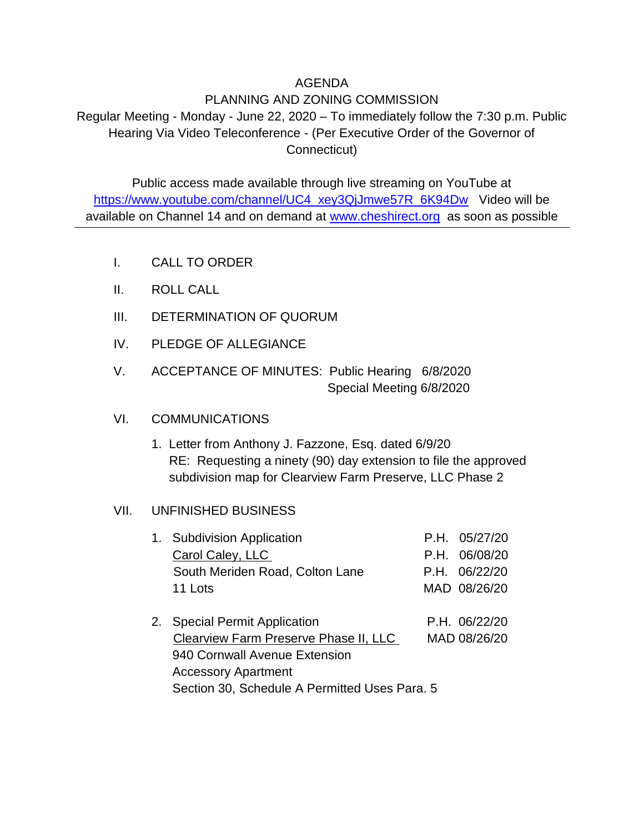### AGENDA

# PLANNING AND ZONING COMMISSION

Regular Meeting - Monday - June 22, 2020 – To immediately follow the 7:30 p.m. Public Hearing Via Video Teleconference - (Per Executive Order of the Governor of Connecticut)

Public access made available through live streaming on YouTube at [https://www.youtube.com/channel/UC4\\_xey3QjJmwe57R\\_6K94Dw](https://www.youtube.com/channel/UC4_xey3QjJmwe57R_6K94Dw) Video will be available on Channel 14 and on demand at [www.cheshirect.org](http://www.cheshirect.org/) as soon as possible

- I. CALL TO ORDER
- II. ROLL CALL
- III. DETERMINATION OF QUORUM
- IV. PLEDGE OF ALLEGIANCE
- V. ACCEPTANCE OF MINUTES: Public Hearing 6/8/2020 Special Meeting 6/8/2020

# VI. COMMUNICATIONS

1. Letter from Anthony J. Fazzone, Esq. dated 6/9/20 RE: Requesting a ninety (90) day extension to file the approved subdivision map for Clearview Farm Preserve, LLC Phase 2

#### VII. UNFINISHED BUSINESS

| 1. Subdivision Application                    |  | P.H. 05/27/20 |
|-----------------------------------------------|--|---------------|
| Carol Caley, LLC                              |  | P.H. 06/08/20 |
| South Meriden Road, Colton Lane               |  | P.H. 06/22/20 |
| 11 Lots                                       |  | MAD 08/26/20  |
| 2. Special Permit Application                 |  | P.H. 06/22/20 |
| Clearview Farm Preserve Phase II, LLC         |  | MAD 08/26/20  |
| 940 Cornwall Avenue Extension                 |  |               |
| <b>Accessory Apartment</b>                    |  |               |
| Section 30, Schedule A Permitted Uses Para. 5 |  |               |